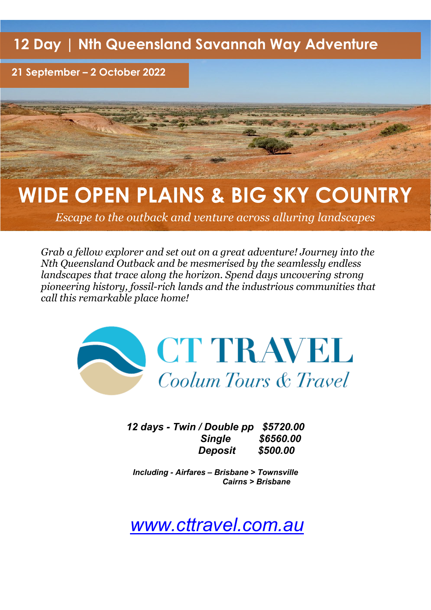**12 Day | Nth Queensland Savannah Way Adventure** 

**21 September – 2 October 2022**

# **WIDE OPEN PLAINS & BIG SKY COUNTRY**

*Escape to the outback and venture across alluring landscapes*

*Grab a fellow explorer and set out on a great adventure! Journey into the Nth Queensland Outback and be mesmerised by the seamlessly endless landscapes that trace along the horizon. Spend days uncovering strong pioneering history, fossil-rich lands and the industrious communities that call this remarkable place home!*



*12 days - Twin / Double pp \$5720.00 Single \$6560.00 Deposit \$500.00*

*Including - Airfares – Brisbane > Townsville Cairns > Brisbane* 

*[www.cttravel.com.au](http://www.cttravel.com.au/)*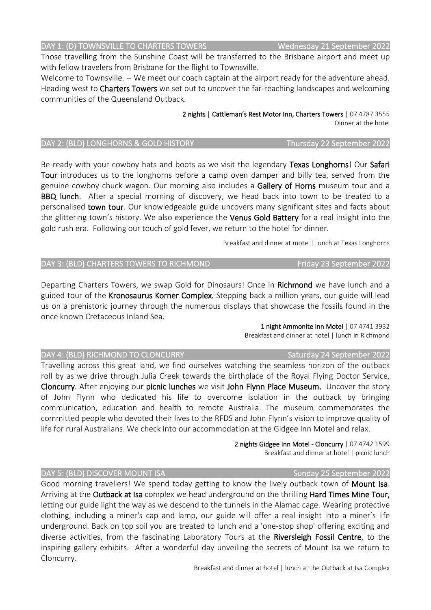Breakfast and dinner at hotel | lunch at the Outback at Isa Complex

### DAY 1: (D) TOWNSVILLE TO CHARTERS TOWERS WEDGED Wednesday 21 September 2022

Those travelling from the Sunshine Coast will be transferred to the Brisbane airport and meet up with fellow travelers from Brisbane for the flight to Townsville.

Welcome to Townsville. -- We meet our coach captain at the airport ready for the adventure ahead. Heading west to **Charters Towers** we set out to uncover the far-reaching landscapes and welcoming communities of the Queensland Outback.

> 2 nights | Cattleman's Rest Motor Inn, Charters Towers | 07 4787 3555 Dinner at the hotel

### DAY 2: (BLD) LONGHORNS & GOLD HISTORY Thursday 22 September 2022

Be ready with your cowboy hats and boots as we visit the legendary Texas Longhorns! Our Safari Tour introduces us to the longhorns before a camp oven damper and billy tea, served from the genuine cowboy chuck wagon. Our morning also includes a Gallery of Horns museum tour and a **BBQ lunch**. After a special morning of discovery, we head back into town to be treated to a personalised town tour. Our knowledgeable guide uncovers many significant sites and facts about the glittering town's history. We also experience the Venus Gold Battery for a real insight into the gold rush era. Following our touch of gold fever, we return to the hotel for dinner.

Breakfast and dinner at motel | lunch at Texas Longhorns

### DAY 3: (BLD) CHARTERS TOWERS TO RICHMOND FRIDAY 3: (BLD) CHARTERS TOWERS TO RICHMOND

Departing Charters Towers, we swap Gold for Dinosaurs! Once in Richmond we have lunch and a guided tour of the Kronosaurus Korner Complex. Stepping back a million years, our guide will lead us on a prehistoric journey through the numerous displays that showcase the fossils found in the once known Cretaceous Inland Sea.

> 1 night Ammonite Inn Motel | 07 4741 3932 Breakfast and dinner at hotel | lunch in Richmond

### DAY 4: (BLD) RICHMOND TO CLONCURRY SATURDAY Saturday 24 September 2022

Travelling across this great land, we find ourselves watching the seamless horizon of the outback roll by as we drive through Julia Creek towards the birthplace of the Royal Flying Doctor Service, Cloncurry. After enjoying our picnic lunches we visit John Flynn Place Museum. Uncover the story of John Flynn who dedicated his life to overcome isolation in the outback by bringing communication, education and health to remote Australia. The museum commemorates the committed people who devoted their lives to the RFDS and John Flynn's vision to improve quality of life for rural Australians. We check into our accommodation at the Gidgee Inn Motel and relax.

> 2 nights Gidgee Inn Motel - Cloncurry | 07 4742 1599 Breakfast and dinner at hotel | picnic lunch

### DAY 5: (BLD) DISCOVER MOUNT ISA Sunday 25 September 2022

Good morning travellers! We spend today getting to know the lively outback town of **Mount Isa**. Arriving at the Outback at Isa complex we head underground on the thrilling Hard Times Mine Tour, letting our guide light the way as we descend to the tunnels in the Alamac cage. Wearing protective clothing, including a miner's cap and lamp, our guide will offer a real insight into a miner's life underground. Back on top soil you are treated to lunch and a 'one-stop shop' offering exciting and diverse activities, from the fascinating Laboratory Tours at the Riversleigh Fossil Centre, to the inspiring gallery exhibits. After a wonderful day unveiling the secrets of Mount Isa we return to Cloncurry.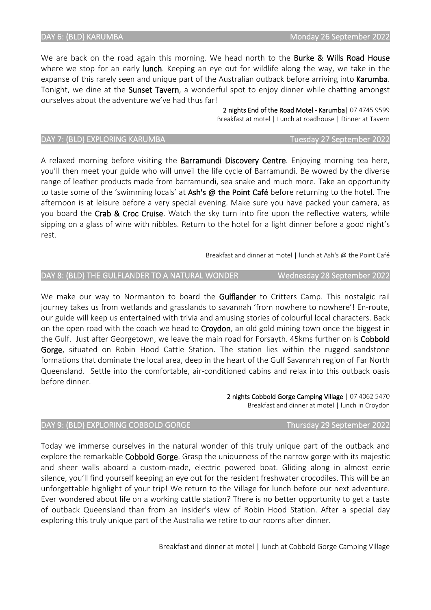We are back on the road again this morning. We head north to the Burke & Wills Road House where we stop for an early lunch. Keeping an eye out for wildlife along the way, we take in the expanse of this rarely seen and unique part of the Australian outback before arriving into Karumba. Tonight, we dine at the Sunset Tavern, a wonderful spot to enjoy dinner while chatting amongst ourselves about the adventure we've had thus far!

> 2 nights End of the Road Motel - Karumba| 07 4745 9599 Breakfast at motel | Lunch at roadhouse | Dinner at Tavern

### DAY 7: (BLD) EXPLORING KARUMBA TUESDAY TUESday 27 September 2022

A relaxed morning before visiting the Barramundi Discovery Centre. Enjoying morning tea here, you'll then meet your guide who will unveil the life cycle of Barramundi. Be wowed by the diverse range of leather products made from barramundi, sea snake and much more. Take an opportunity to taste some of the 'swimming locals' at Ash's @ the Point Café before returning to the hotel. The afternoon is at leisure before a very special evening. Make sure you have packed your camera, as you board the Crab & Croc Cruise. Watch the sky turn into fire upon the reflective waters, while sipping on a glass of wine with nibbles. Return to the hotel for a light dinner before a good night's rest.

Breakfast and dinner at motel | lunch at Ash's @ the Point Café

We make our way to Normanton to board the Gulflander to Critters Camp. This nostalgic rail journey takes us from wetlands and grasslands to savannah 'from nowhere to nowhere'! En-route, our guide will keep us entertained with trivia and amusing stories of colourful local characters. Back on the open road with the coach we head to Croydon, an old gold mining town once the biggest in the Gulf. Just after Georgetown, we leave the main road for Forsayth. 45kms further on is Cobbold Gorge, situated on Robin Hood Cattle Station. The station lies within the rugged sandstone formations that dominate the local area, deep in the heart of the Gulf Savannah region of Far North Queensland. Settle into the comfortable, air-conditioned cabins and relax into this outback oasis before dinner.

Today we immerse ourselves in the natural wonder of this truly unique part of the outback and explore the remarkable Cobbold Gorge. Grasp the uniqueness of the narrow gorge with its majestic and sheer walls aboard a custom-made, electric powered boat. Gliding along in almost eerie silence, you'll find yourself keeping an eye out for the resident freshwater crocodiles. This will be an unforgettable highlight of your trip! We return to the Village for lunch before our next adventure. Ever wondered about life on a working cattle station? There is no better opportunity to get a taste of outback Queensland than from an insider's view of Robin Hood Station. After a special day

2 nights Cobbold Gorge Camping Village | 07 4062 5470 Breakfast and dinner at motel | lunch in Croydon

exploring this truly unique part of the Australia we retire to our rooms after dinner. Breakfast and dinner at motel | lunch at Cobbold Gorge Camping Village

### DAY 8: (BLD) THE GULFLANDER TO A NATURAL WONDER Wednesday 28 September 2022

DAY 9: (BLD) EXPLORING COBBOLD GORGE Thursday 29 September 2022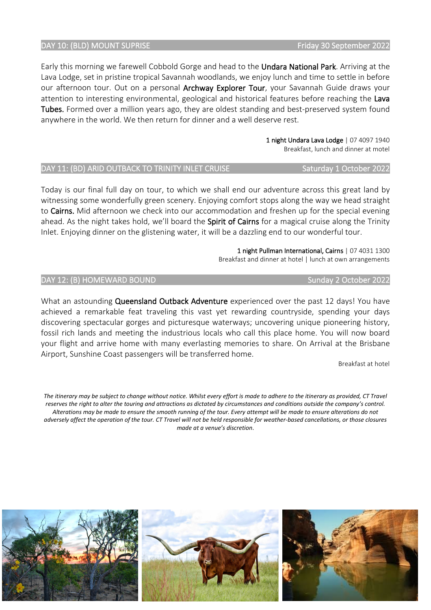### DAY 10: (BLD) MOUNT SUPRISE FRIDAY 10: (BLD) MOUNT SUPRISE

Early this morning we farewell Cobbold Gorge and head to the Undara National Park. Arriving at the Lava Lodge, set in pristine tropical Savannah woodlands, we enjoy lunch and time to settle in before our afternoon tour. Out on a personal Archway Explorer Tour, your Savannah Guide draws your attention to interesting environmental, geological and historical features before reaching the Lava Tubes. Formed over a million years ago, they are oldest standing and best-preserved system found anywhere in the world. We then return for dinner and a well deserve rest.

> 1 night Undara Lava Lodge | 07 4097 1940 Breakfast, lunch and dinner at motel

### DAY 11: (BD) ARID OUTBACK TO TRINITY INLET CRUISE Saturday 1 October 2022

Today is our final full day on tour, to which we shall end our adventure across this great land by witnessing some wonderfully green scenery. Enjoying comfort stops along the way we head straight to Cairns. Mid afternoon we check into our accommodation and freshen up for the special evening ahead. As the night takes hold, we'll board the **Spirit of Cairns** for a magical cruise along the Trinity Inlet. Enjoying dinner on the glistening water, it will be a dazzling end to our wonderful tour.

> 1 night Pullman International, Cairns | 07 4031 1300 Breakfast and dinner at hotel | lunch at own arrangements

DAY 12: (B) HOMEWARD BOUND SUNDAY SUNDAY 12: (B) HOMEWARD BOUND

What an astounding **Queensland Outback Adventure** experienced over the past 12 days! You have achieved a remarkable feat traveling this vast yet rewarding countryside, spending your days discovering spectacular gorges and picturesque waterways; uncovering unique pioneering history, fossil rich lands and meeting the industrious locals who call this place home. You will now board your flight and arrive home with many everlasting memories to share. On Arrival at the Brisbane Airport, Sunshine Coast passengers will be transferred home.

Breakfast at hotel

*The itinerary may be subject to change without notice. Whilst every effort is made to adhere to the itinerary as provided, CT Travel reserves the right to alter the touring and attractions as dictated by circumstances and conditions outside the company's control. Alterations may be made to ensure the smooth running of the tour. Every attempt will be made to ensure alterations do not adversely affect the operation of the tour. CT Travel will not be held responsible for weather-based cancellations, or those closures made at a venue's discretion*.